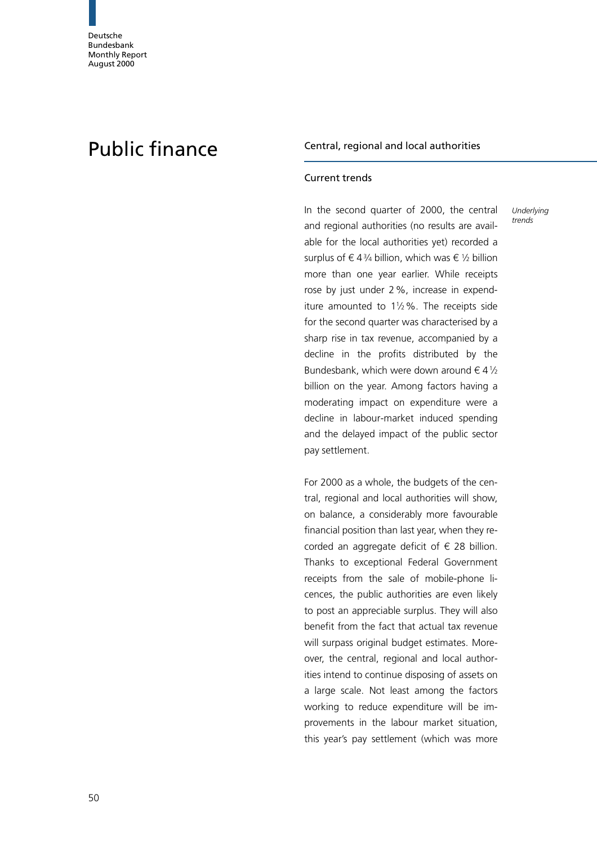# Public finance Central, regional and local authorities

## Current trends

In the second quarter of 2000, the central and regional authorities (no results are available for the local authorities yet) recorded a surplus of  $\in$  43/4 billion, which was  $\in$  1/2 billion more than one year earlier. While receipts rose by just under 2%, increase in expenditure amounted to  $1\frac{1}{2}\%$ . The receipts side for the second quarter was characterised by a sharp rise in tax revenue, accompanied by a decline in the profits distributed by the Bundesbank, which were down around  $\in$  4 $\frac{1}{2}$ billion on the year. Among factors having a moderating impact on expenditure were a decline in labour-market induced spending and the delayed impact of the public sector pay settlement.

**Underlying** trends

For 2000 as a whole, the budgets of the central, regional and local authorities will show, on balance, a considerably more favourable financial position than last year, when they recorded an aggregate deficit of  $\epsilon$  28 billion. Thanks to exceptional Federal Government receipts from the sale of mobile-phone licences, the public authorities are even likely to post an appreciable surplus. They will also benefit from the fact that actual tax revenue will surpass original budget estimates. Moreover, the central, regional and local authorities intend to continue disposing of assets on a large scale. Not least among the factors working to reduce expenditure will be improvements in the labour market situation, this year's pay settlement (which was more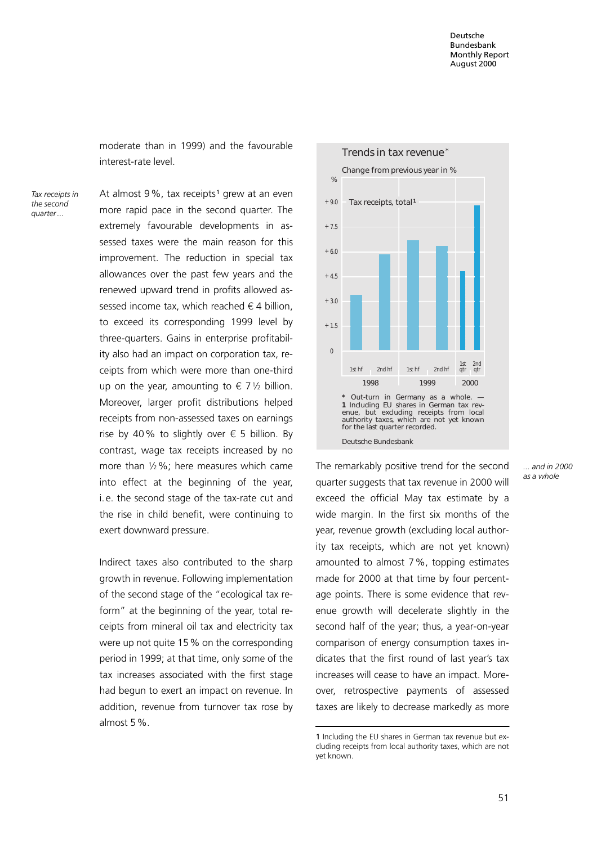moderate than in 1999) and the favourable interest-rate level.

Tax receipts in the second quarter ...

At almost  $9\%$ , tax receipts<sup>1</sup> grew at an even more rapid pace in the second quarter. The extremely favourable developments in assessed taxes were the main reason for this improvement. The reduction in special tax allowances over the past few years and the renewed upward trend in profits allowed assessed income tax, which reached  $\epsilon$  4 billion, to exceed its corresponding 1999 level by three-quarters. Gains in enterprise profitability also had an impact on corporation tax, receipts from which were more than one-third up on the year, amounting to  $\epsilon$  7 1/2 billion. Moreover, larger profit distributions helped receipts from non-assessed taxes on earnings rise by 40% to slightly over  $\epsilon$  5 billion. By contrast, wage tax receipts increased by no more than  $1/2$ %; here measures which came into effect at the beginning of the year, i. e. the second stage of the tax-rate cut and the rise in child benefit, were continuing to exert downward pressure.

Indirect taxes also contributed to the sharp growth in revenue. Following implementation of the second stage of the "ecological tax reform" at the beginning of the year, total receipts from mineral oil tax and electricity tax were up not quite 15% on the corresponding period in 1999; at that time, only some of the tax increases associated with the first stage had begun to exert an impact on revenue. In addition, revenue from turnover tax rose by almost 5%.



The remarkably positive trend for the second quarter suggests that tax revenue in 2000 will exceed the official May tax estimate by a wide margin. In the first six months of the year, revenue growth (excluding local authority tax receipts, which are not yet known) amounted to almost 7%, topping estimates made for 2000 at that time by four percentage points. There is some evidence that revenue growth will decelerate slightly in the second half of the year; thus, a year-on-year comparison of energy consumption taxes indicates that the first round of last year's tax increases will cease to have an impact. Moreover, retrospective payments of assessed taxes are likely to decrease markedly as more ... and in 2000 as a whole

<sup>1</sup> Including the EU shares in German tax revenue but excluding receipts from local authority taxes, which are not yet known.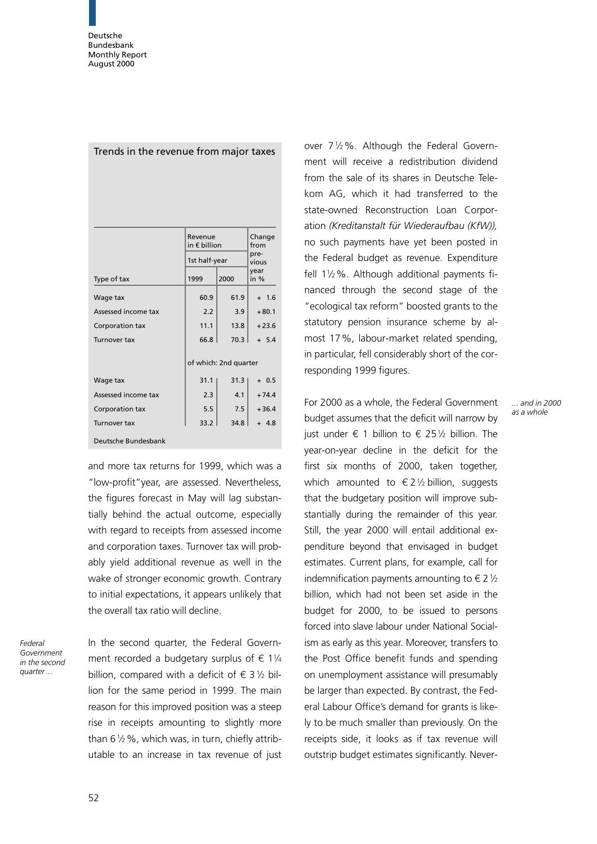|                     | Revenue<br>in € billion | Change<br>from        |                |  |  |
|---------------------|-------------------------|-----------------------|----------------|--|--|
|                     | 1st half-year           |                       | pre-<br>vious  |  |  |
| Type of tax         | 1999                    | 2000                  | year<br>in $%$ |  |  |
| Wage tax            | 60.9                    | 61.9                  | $+ 1.6$        |  |  |
| Assessed income tax | 2.2                     | 3.9                   | $+80.1$        |  |  |
| Corporation tax     | 11.1                    | 13.8                  | $+23.6$        |  |  |
| <b>Turnover tax</b> | 66.8                    | 70.3                  | $+ 5.4$        |  |  |
|                     |                         | of which: 2nd quarter |                |  |  |
| Wage tax            | 31.1                    | 31.3                  | $+0.5$         |  |  |
| Assessed income tax | 2.3                     | 4.1                   | $+74.4$        |  |  |
| Corporation tax     | 5.5                     | 7.5                   | $+36.4$        |  |  |
| <b>Turnover tax</b> | 33.2                    | 34.8                  | $+ 4.8$        |  |  |
| Deutsche Bundesbank |                         |                       |                |  |  |

Trends in the revenue from major taxes

and more tax returns for 1999, which was a ªlow-profitºyear, are assessed. Nevertheless, the figures forecast in May will lag substantially behind the actual outcome, especially with regard to receipts from assessed income and corporation taxes. Turnover tax will probably yield additional revenue as well in the wake of stronger economic growth. Contrary to initial expectations, it appears unlikely that the overall tax ratio will decline.

Federal Government in the second quarter ...

In the second quarter, the Federal Government recorded a budgetary surplus of  $\epsilon$  11/4 billion, compared with a deficit of  $\in$  3 1/2 billion for the same period in 1999. The main reason for this improved position was a steep rise in receipts amounting to slightly more than  $6\frac{1}{2}\%$ , which was, in turn, chiefly attributable to an increase in tax revenue of just

over 712%. Although the Federal Government will receive a redistribution dividend from the sale of its shares in Deutsche Telekom AG, which it had transferred to the state-owned Reconstruction Loan Corporation (Kreditanstalt für Wiederaufbau (KfW)), no such payments have yet been posted in the Federal budget as revenue. Expenditure fell  $1\frac{1}{2}\%$ . Although additional payments financed through the second stage of the ªecological tax reformº boosted grants to the statutory pension insurance scheme by almost 17%, labour-market related spending, in particular, fell considerably short of the corresponding 1999 figures.

For 2000 as a whole, the Federal Government budget assumes that the deficit will narrow by iust under  $\epsilon$  1 billion to  $\epsilon$  251/2 billion. The year-on-year decline in the deficit for the first six months of 2000, taken together, which amounted to  $\epsilon$  2 1/2 billion, suggests that the budgetary position will improve substantially during the remainder of this year. Still, the year 2000 will entail additional expenditure beyond that envisaged in budget estimates. Current plans, for example, call for indemnification payments amounting to  $\epsilon$  2  $\frac{1}{2}$ billion, which had not been set aside in the budget for 2000, to be issued to persons forced into slave labour under National Socialism as early as this year. Moreover, transfers to the Post Office benefit funds and spending on unemployment assistance will presumably be larger than expected. By contrast, the Federal Labour Office's demand for grants is likely to be much smaller than previously. On the receipts side, it looks as if tax revenue will outstrip budget estimates significantly. Never-

... and in 2000 as a whole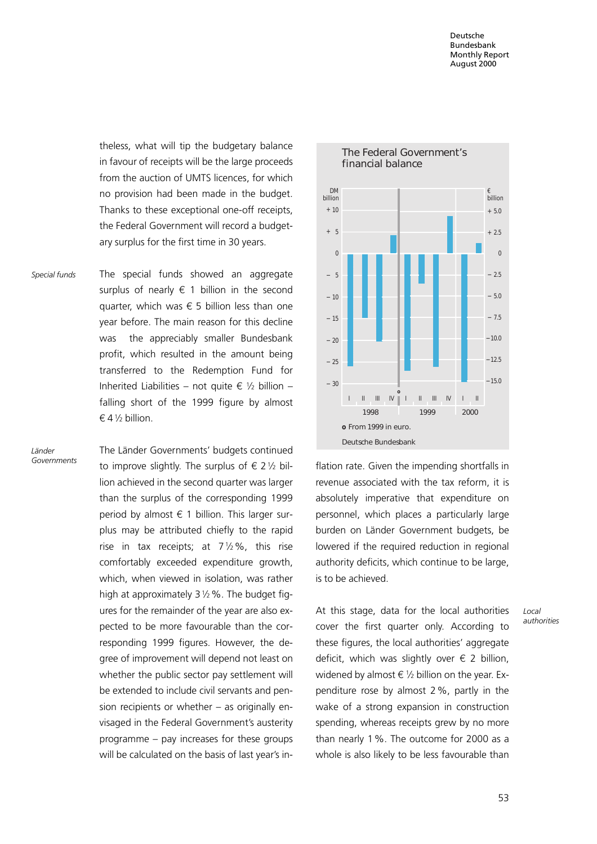theless, what will tip the budgetary balance in favour of receipts will be the large proceeds from the auction of UMTS licences, for which no provision had been made in the budget. Thanks to these exceptional one-off receipts, the Federal Government will record a budgetary surplus for the first time in 30 years.

The special funds showed an aggregate surplus of nearly  $\xi$  1 billion in the second quarter, which was  $\epsilon$  5 billion less than one year before. The main reason for this decline was the appreciably smaller Bundesbank profit, which resulted in the amount being transferred to the Redemption Fund for Inherited Liabilities − not quite  $\epsilon$  1/2 billion − falling short of the 1999 figure by almost  $64\frac{1}{2}$  billion. Special funds

Länder Governments The Länder Governments' budgets continued to improve slightly. The surplus of  $\epsilon$  2 1/2 billion achieved in the second quarter was larger than the surplus of the corresponding 1999 period by almost  $\epsilon$  1 billion. This larger surplus may be attributed chiefly to the rapid rise in tax receipts; at  $7\frac{1}{2}\%$ , this rise comfortably exceeded expenditure growth, which, when viewed in isolation, was rather high at approximately  $3\frac{1}{2}\%$ . The budget figures for the remainder of the year are also expected to be more favourable than the corresponding 1999 figures. However, the degree of improvement will depend not least on whether the public sector pay settlement will be extended to include civil servants and pension recipients or whether  $-$  as originally envisaged in the Federal Government's austerity programme  $-$  pay increases for these groups will be calculated on the basis of last year's in-



flation rate. Given the impending shortfalls in revenue associated with the tax reform, it is absolutely imperative that expenditure on personnel, which places a particularly large burden on Länder Government budgets, be lowered if the required reduction in regional authority deficits, which continue to be large, is to be achieved.

At this stage, data for the local authorities cover the first quarter only. According to these figures, the local authorities' aggregate deficit, which was slightly over  $\epsilon$  2 billion, widened by almost  $\in \mathcal{V}_2$  billion on the year. Expenditure rose by almost 2%, partly in the wake of a strong expansion in construction spending, whereas receipts grew by no more than nearly 1%. The outcome for 2000 as a whole is also likely to be less favourable than

Local authorities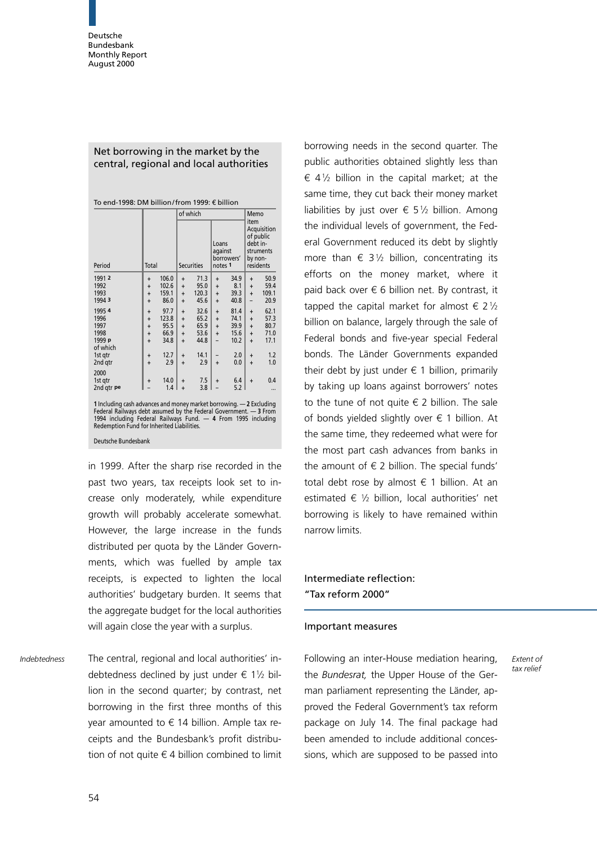## Net borrowing in the market by the central, regional and local authorities

|                                                                                                                                                                                                                                                          |           |       | of which               |                   |                                        |            | Memo                        |                                                    |  |
|----------------------------------------------------------------------------------------------------------------------------------------------------------------------------------------------------------------------------------------------------------|-----------|-------|------------------------|-------------------|----------------------------------------|------------|-----------------------------|----------------------------------------------------|--|
| Period                                                                                                                                                                                                                                                   | Total     |       |                        | <b>Securities</b> | Loans<br>against<br>notes <sub>1</sub> | borrowers' | item<br>debt in-<br>by non- | Acquisition<br>of public<br>struments<br>residents |  |
| 1991 2                                                                                                                                                                                                                                                   | $\ddot{}$ | 106.0 | $\ddot{}$              | 71.3              | $\ddot{}$                              | 34.9       | $\ddot{}$                   | 50.9                                               |  |
| 1992                                                                                                                                                                                                                                                     | $\ddot{}$ | 102.6 | $\ddot{}$              | 95.0              | $\ddot{}$                              | 8.1        | $\ddot{}$                   | 59.4                                               |  |
| 1993                                                                                                                                                                                                                                                     | $\ddot{}$ | 159.1 | $\ddot{}$              | 120.3             | $\ddot{}$                              | 39.3       | $\ddot{}$                   | 109.1                                              |  |
| 1994 3                                                                                                                                                                                                                                                   | $\ddot{}$ | 86.0  | $\ddot{}$              | 45.6              | $\ddot{}$                              | 40.8       |                             | 20.9                                               |  |
|                                                                                                                                                                                                                                                          |           |       |                        |                   |                                        |            |                             |                                                    |  |
| 1995 4                                                                                                                                                                                                                                                   | $\ddot{}$ | 97.7  | $\ddot{}$              | 32.6              | $\ddot{}$                              | 81.4       | $\ddot{}$                   | 62.1                                               |  |
| 1996<br>1997                                                                                                                                                                                                                                             | $\ddot{}$ | 123.8 | $\ddot{}$              | 65.2              | $\ddot{}$                              | 74.1       | $\ddot{}$                   | 57.3                                               |  |
|                                                                                                                                                                                                                                                          | $\ddot{}$ | 95.5  | $\ddot{}$              | 65.9              | $\ddot{}$                              | 39.9       | $\ddot{}$                   | 80.7                                               |  |
| 1998<br>1999 p                                                                                                                                                                                                                                           | $\ddot{}$ | 66.9  | $\ddot{}$              | 53.6              | $\ddot{}$                              | 15.6       | $\ddot{}$                   | 71.0                                               |  |
| of which                                                                                                                                                                                                                                                 | $\ddot{}$ | 34.8  | $\ddot{}$              | 44.8              |                                        | 10.2       | $\ddot{}$                   | 17.1                                               |  |
| 1st gtr                                                                                                                                                                                                                                                  | $\ddot{}$ | 12.7  | $\ddot{}$              | 14.1              |                                        | 2.0        | $\ddot{}$                   | 1.2                                                |  |
| 2nd qtr                                                                                                                                                                                                                                                  | $\ddot{}$ | 2.9   | $\ddot{}$              | 2.9               | $\ddot{}$                              | 0.0        | $\ddot{}$                   | 1.0                                                |  |
|                                                                                                                                                                                                                                                          |           |       |                        |                   |                                        |            |                             |                                                    |  |
| 2000                                                                                                                                                                                                                                                     |           |       |                        |                   |                                        |            |                             |                                                    |  |
| 1st gtr                                                                                                                                                                                                                                                  | $\ddot{}$ | 14.0  | $\ddot{}$<br>$\ddot{}$ | 7.5               | $\ddot{}$                              | 6.4        | $\ddot{}$                   | 0.4                                                |  |
| 2nd gtr pe                                                                                                                                                                                                                                               |           | 1.4   |                        | 3.8               |                                        | 5.2        |                             |                                                    |  |
| 1 Including cash advances and money market borrowing. - 2 Excluding<br>Federal Railways debt assumed by the Federal Government. $-3$ From<br>1994 including Federal Railways Fund. - 4 From 1995 including<br>Redemption Fund for Inherited Liabilities. |           |       |                        |                   |                                        |            |                             |                                                    |  |

Deutsche Bundesbank

in 1999. After the sharp rise recorded in the past two years, tax receipts look set to increase only moderately, while expenditure growth will probably accelerate somewhat. However, the large increase in the funds distributed per quota by the Länder Governments, which was fuelled by ample tax receipts, is expected to lighten the local authorities' budgetary burden. It seems that the aggregate budget for the local authorities will again close the year with a surplus.

Indebtedness The central, regional and local authorities' in-<br>Indebtedness The central, regional and local authorities' in-<br>Indiowing an inter-House mediation hearing, Extents debtedness declined by just under  $\epsilon$  11/2 billion in the second quarter; by contrast, net borrowing in the first three months of this vear amounted to  $\epsilon$  14 billion. Ample tax receipts and the Bundesbank's profit distribution of not quite  $\epsilon$  4 billion combined to limit

borrowing needs in the second quarter. The public authorities obtained slightly less than  $64\frac{1}{2}$  billion in the capital market; at the same time, they cut back their money market liabilities by just over  $\epsilon$  51/2 billion. Among the individual levels of government, the Federal Government reduced its debt by slightly more than  $\epsilon$  3 1/2 billion, concentrating its efforts on the money market, where it paid back over  $\epsilon$  6 billion net. By contrast, it tapped the capital market for almost  $\epsilon$  2 1/2 billion on balance, largely through the sale of Federal bonds and five-year special Federal bonds. The Länder Governments expanded their debt by just under  $\epsilon$  1 billion, primarily by taking up loans against borrowers' notes to the tune of not quite  $\epsilon$  2 billion. The sale of bonds yielded slightly over  $\epsilon$  1 billion. At the same time, they redeemed what were for the most part cash advances from banks in the amount of  $\epsilon$  2 billion. The special funds' total debt rose by almost  $\epsilon$  1 billion. At an estimated  $\epsilon$  1/2 billion, local authorities' net borrowing is likely to have remained within narrow limits.

# Intermediate reflection: ªTax reform 2000º

#### Important measures

Following an inter-House mediation hearing, the Bundesrat, the Upper House of the German parliament representing the Länder, approved the Federal Government's tax reform package on July 14. The final package had been amended to include additional concessions, which are supposed to be passed into

tax relief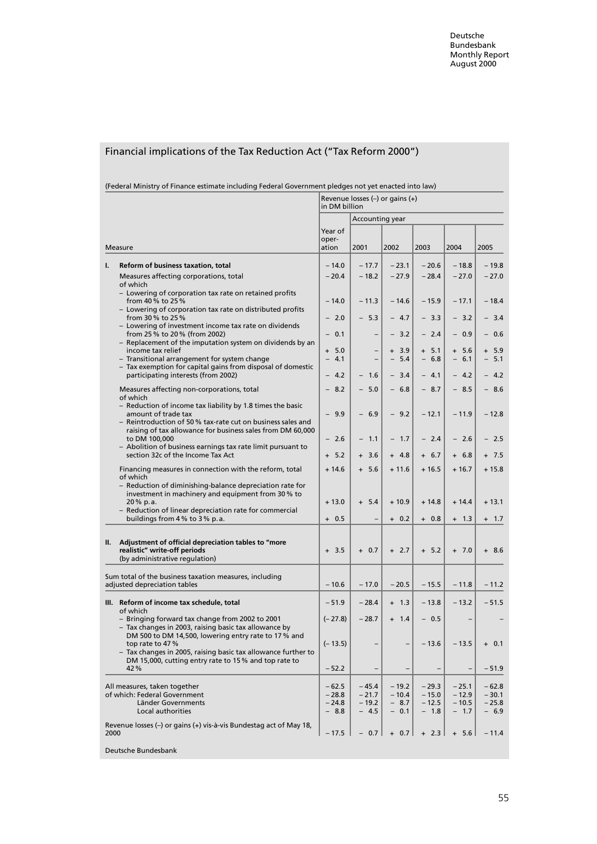|  |  | Financial implications of the Tax Reduction Act ("Tax Reform 2000") |
|--|--|---------------------------------------------------------------------|
|--|--|---------------------------------------------------------------------|

| (Federal Ministry of Finance estimate including Federal Government pledges not yet enacted into law) |  |  |
|------------------------------------------------------------------------------------------------------|--|--|
|------------------------------------------------------------------------------------------------------|--|--|

|      |                                                                                                                        | Revenue losses (-) or gains (+)<br>in DM billion |                    |                    |                    |                    |                                 |
|------|------------------------------------------------------------------------------------------------------------------------|--------------------------------------------------|--------------------|--------------------|--------------------|--------------------|---------------------------------|
|      |                                                                                                                        |                                                  | Accounting year    |                    |                    |                    |                                 |
|      |                                                                                                                        | Year of                                          |                    |                    |                    |                    |                                 |
|      | <b>Measure</b>                                                                                                         | oper-<br>ation                                   | 2001               | 2002               | 2003               | 2004               | 2005                            |
|      |                                                                                                                        |                                                  |                    |                    |                    |                    |                                 |
| ı.   | Reform of business taxation, total<br>Measures affecting corporations, total                                           | $-14.0$<br>$-20.4$                               | $-17.7$<br>$-18.2$ | $-23.1$<br>$-27.9$ | $-20.6$<br>$-28.4$ | $-18.8$<br>$-27.0$ | $-19.8$<br>$-27.0$              |
|      | of which                                                                                                               |                                                  |                    |                    |                    |                    |                                 |
|      | - Lowering of corporation tax rate on retained profits<br>from 40% to 25%                                              | $-14.0$                                          | $-11.3$            | $-14.6$            | $-15.9$            | $-17.1$            | $-18.4$                         |
|      | - Lowering of corporation tax rate on distributed profits                                                              | $-2.0$                                           | $-5.3$             | $-4.7$             |                    |                    |                                 |
|      | from 30% to 25%<br>- Lowering of investment income tax rate on dividends                                               |                                                  |                    |                    | $-3.3$             | $-3.2$             | $-3.4$                          |
|      | from 25 % to 20 % (from 2002)<br>- Replacement of the imputation system on dividends by an                             | $-0.1$                                           | $\qquad \qquad -$  | $-3.2$             | $-2.4$             | $-0.9$             | $-0.6$                          |
|      | income tax relief                                                                                                      | $+ 5.0$                                          |                    | $+3.9$             | $+ 5.1$            | $+ 5.6$            | $+ 5.9$                         |
|      | - Transitional arrangement for system change<br>- Tax exemption for capital gains from disposal of domestic            | $-4.1$                                           | $\qquad \qquad -$  | $-5.4$             | $-6.8$             | $-6.1$             | $-5.1$                          |
|      | participating interests (from 2002)                                                                                    | 4.2<br>$\overline{\phantom{0}}$                  | 1.6                | $-3.4$             | $-4.1$             | $-4.2$             | 4.2<br>$\overline{\phantom{0}}$ |
|      | Measures affecting non-corporations, total                                                                             | $-8.2$                                           | $-5.0$             | $-6.8$             | $-8.7$             | $-8.5$             | $-8.6$                          |
|      | of which<br>- Reduction of income tax liability by 1.8 times the basic                                                 |                                                  |                    |                    |                    |                    |                                 |
|      | amount of trade tax<br>- Reintroduction of 50 % tax-rate cut on business sales and                                     | $-9.9$                                           | $-6.9$             | $-9.2$             | $-12.1$            | $-11.9$            | $-12.8$                         |
|      | raising of tax allowance for business sales from DM 60,000                                                             |                                                  |                    |                    |                    |                    |                                 |
|      | to DM 100,000<br>- Abolition of business earnings tax rate limit pursuant to                                           | $-2.6$                                           | $-1.1$             | $-1.7$             | $-2.4$             | $-2.6$             | $-2.5$                          |
|      | section 32c of the Income Tax Act                                                                                      | $+ 5.2$                                          | $+3.6$             | $+ 4.8$            | $+ 6.7$            | $+ 6.8$            | $+ 7.5$                         |
|      | Financing measures in connection with the reform, total                                                                | $+14.6$                                          | $+ 5.6$            | $+11.6$            | + 16.5             | $+16.7$            | $+15.8$                         |
|      | of which<br>- Reduction of diminishing-balance depreciation rate for                                                   |                                                  |                    |                    |                    |                    |                                 |
|      | investment in machinery and equipment from 30 % to                                                                     |                                                  |                    |                    |                    |                    |                                 |
|      | 20 % p.a.<br>- Reduction of linear depreciation rate for commercial                                                    | $+13.0$                                          | $+ 5.4$            | $+10.9$            | $+14.8$            | $+14.4$            | $+13.1$                         |
|      | buildings from 4 % to 3 % p.a.                                                                                         | $+ 0.5$                                          |                    | $+ 0.2$            | $+ 0.8$            | $+ 1.3$            | $+ 1.7$                         |
|      |                                                                                                                        |                                                  |                    |                    |                    |                    |                                 |
| II.  | Adjustment of official depreciation tables to "more<br>realistic" write-off periods                                    | $+3.5$                                           | $+ 0.7$            | $+2.7$             | $+ 5.2$            | $+ 7.0$            | $+8.6$                          |
|      | (by administrative regulation)                                                                                         |                                                  |                    |                    |                    |                    |                                 |
|      | Sum total of the business taxation measures, including                                                                 |                                                  |                    |                    |                    |                    |                                 |
|      | adjusted depreciation tables                                                                                           | $-10.6$                                          | $-17.0$            | $-20.5$            | $-15.5$            | $-11.8$            | $-11.2$                         |
|      | III. Reform of income tax schedule, total                                                                              | $-51.9$                                          | $-28.4$            | $+ 1.3$            | $-13.8$            | $-13.2$            | $-51.5$                         |
|      | of which<br>- Bringing forward tax change from 2002 to 2001                                                            | $(-27.8)$                                        | $-28.7$            | $+ 1.4$            | $-0.5$             |                    |                                 |
|      | - Tax changes in 2003, raising basic tax allowance by                                                                  |                                                  |                    |                    |                    |                    |                                 |
|      | DM 500 to DM 14,500, lowering entry rate to 17 % and<br>top rate to 47 %                                               | $(-13.5)$                                        |                    |                    | $-13.6$            | $-13.5$ + 0.1      |                                 |
|      | - Tax changes in 2005, raising basic tax allowance further to<br>DM 15,000, cutting entry rate to 15 % and top rate to |                                                  |                    |                    |                    |                    |                                 |
|      | 42%                                                                                                                    | $-52.2$                                          |                    |                    |                    | $\qquad \qquad -$  | $-51.9$                         |
|      | All measures, taken together                                                                                           | $-62.5$                                          | - 45.4             | $-19.2$            | $-29.3$            | $-25.1$            | $-62.8$                         |
|      | of which: Federal Government                                                                                           | $-28.8$                                          | $-21.7$            | $-10.4$            | $-15.0$            | $-12.9$            | $-30.1$                         |
|      | Länder Governments<br>Local authorities                                                                                | $-24.8$<br>$-8.8$                                | $-19.2$<br>$-4.5$  | $-8.7$<br>$-0.1$   | $-12.5$<br>$-1.8$  | $-10.5$<br>$-1.7$  | $-25.8$<br>$-6.9$               |
|      | Revenue losses (-) or gains (+) vis-à-vis Bundestag act of May 18,                                                     |                                                  |                    |                    |                    |                    |                                 |
| 2000 |                                                                                                                        | $-17.5$                                          | $-0.7$             | $+ 0.7$            | $+ 2.3$            | $+ 5.6$            | $-11.4$                         |
|      | Deutsche Bundesbank                                                                                                    |                                                  |                    |                    |                    |                    |                                 |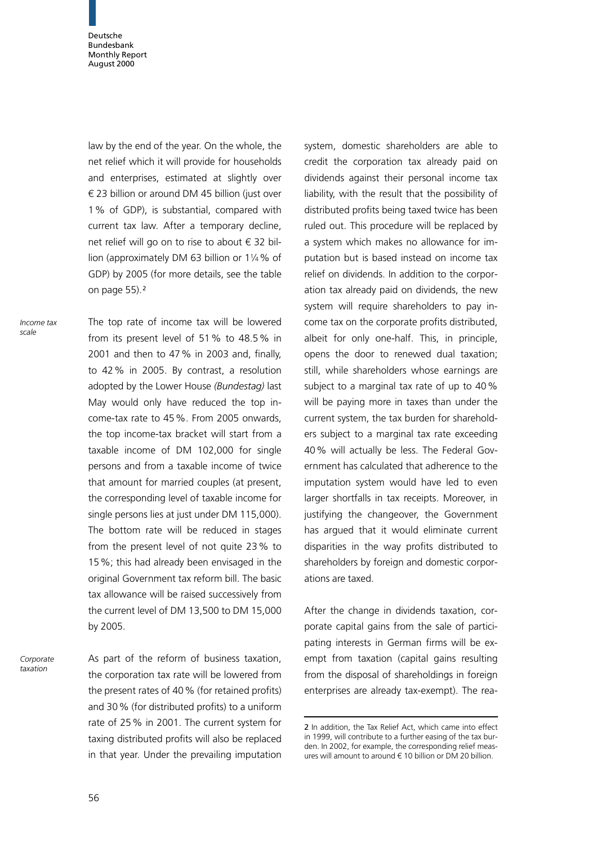law by the end of the year. On the whole, the net relief which it will provide for households and enterprises, estimated at slightly over  $\epsilon$  23 billion or around DM 45 billion (just over 1% of GDP), is substantial, compared with current tax law. After a temporary decline, net relief will go on to rise to about  $\epsilon$  32 billion (approximately DM 63 billion or 11/4% of GDP) by 2005 (for more details, see the table on page 55).<sup>2</sup>

The top rate of income tax will be lowered from its present level of 51% to 48.5% in 2001 and then to 47% in 2003 and, finally, to 42% in 2005. By contrast, a resolution adopted by the Lower House (Bundestag) last May would only have reduced the top income-tax rate to 45%. From 2005 onwards, the top income-tax bracket will start from a taxable income of DM 102,000 for single persons and from a taxable income of twice that amount for married couples (at present, the corresponding level of taxable income for single persons lies at just under DM 115,000). The bottom rate will be reduced in stages from the present level of not quite 23% to 15%; this had already been envisaged in the original Government tax reform bill. The basic tax allowance will be raised successively from the current level of DM 13,500 to DM 15,000 by 2005.

As part of the reform of business taxation, the corporation tax rate will be lowered from the present rates of 40% (for retained profits) and 30% (for distributed profits) to a uniform rate of 25% in 2001. The current system for taxing distributed profits will also be replaced in that year. Under the prevailing imputation Corporate taxation

system, domestic shareholders are able to credit the corporation tax already paid on dividends against their personal income tax liability, with the result that the possibility of distributed profits being taxed twice has been ruled out. This procedure will be replaced by a system which makes no allowance for imputation but is based instead on income tax relief on dividends. In addition to the corporation tax already paid on dividends, the new system will require shareholders to pay income tax on the corporate profits distributed, albeit for only one-half. This, in principle, opens the door to renewed dual taxation; still, while shareholders whose earnings are subject to a marginal tax rate of up to 40% will be paying more in taxes than under the current system, the tax burden for shareholders subject to a marginal tax rate exceeding 40% will actually be less. The Federal Government has calculated that adherence to the imputation system would have led to even larger shortfalls in tax receipts. Moreover, in justifying the changeover, the Government has argued that it would eliminate current disparities in the way profits distributed to shareholders by foreign and domestic corporations are taxed.

After the change in dividends taxation, corporate capital gains from the sale of participating interests in German firms will be exempt from taxation (capital gains resulting from the disposal of shareholdings in foreign enterprises are already tax-exempt). The rea-

Income tax scale

<sup>2</sup> In addition, the Tax Relief Act, which came into effect in 1999, will contribute to a further easing of the tax burden. In 2002, for example, the corresponding relief measures will amount to around  $\epsilon$  10 billion or DM 20 billion.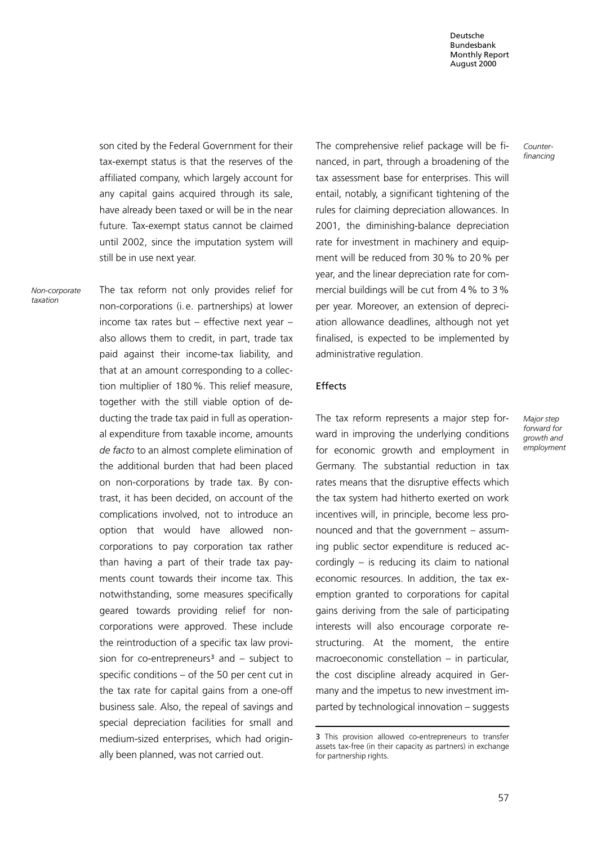son cited by the Federal Government for their tax-exempt status is that the reserves of the affiliated company, which largely account for any capital gains acquired through its sale, have already been taxed or will be in the near future. Tax-exempt status cannot be claimed until 2002, since the imputation system will still be in use next year.

Non-corporate taxation

The tax reform not only provides relief for non-corporations (i. e. partnerships) at lower income tax rates but  $-$  effective next year  $$ also allows them to credit, in part, trade tax paid against their income-tax liability, and that at an amount corresponding to a collection multiplier of 180%. This relief measure, together with the still viable option of deducting the trade tax paid in full as operational expenditure from taxable income, amounts de facto to an almost complete elimination of the additional burden that had been placed on non-corporations by trade tax. By contrast, it has been decided, on account of the complications involved, not to introduce an option that would have allowed noncorporations to pay corporation tax rather than having a part of their trade tax payments count towards their income tax. This notwithstanding, some measures specifically geared towards providing relief for noncorporations were approved. These include the reintroduction of a specific tax law provision for co-entrepreneurs<sup>3</sup> and  $-$  subject to specific conditions  $-$  of the 50 per cent cut in the tax rate for capital gains from a one-off business sale. Also, the repeal of savings and special depreciation facilities for small and medium-sized enterprises, which had originally been planned, was not carried out.

The comprehensive relief package will be financed, in part, through a broadening of the tax assessment base for enterprises. This will entail, notably, a significant tightening of the rules for claiming depreciation allowances. In 2001, the diminishing-balance depreciation rate for investment in machinery and equipment will be reduced from 30% to 20% per year, and the linear depreciation rate for commercial buildings will be cut from 4% to 3% per year. Moreover, an extension of depreciation allowance deadlines, although not yet finalised, is expected to be implemented by administrative regulation.

### Effects

The tax reform represents a major step forward in improving the underlying conditions for economic growth and employment in Germany. The substantial reduction in tax rates means that the disruptive effects which the tax system had hitherto exerted on work incentives will, in principle, become less pronounced and that the government  $-$  assuming public sector expenditure is reduced accordingly  $-$  is reducing its claim to national economic resources. In addition, the tax exemption granted to corporations for capital gains deriving from the sale of participating interests will also encourage corporate restructuring. At the moment, the entire macroeconomic constellation  $-$  in particular, the cost discipline already acquired in Germany and the impetus to new investment im $parted$  by technological innovation  $-$  suggests

Major step forward for growth and employment

Counterfinancing

<sup>3</sup> This provision allowed co-entrepreneurs to transfer assets tax-free (in their capacity as partners) in exchange for partnership rights.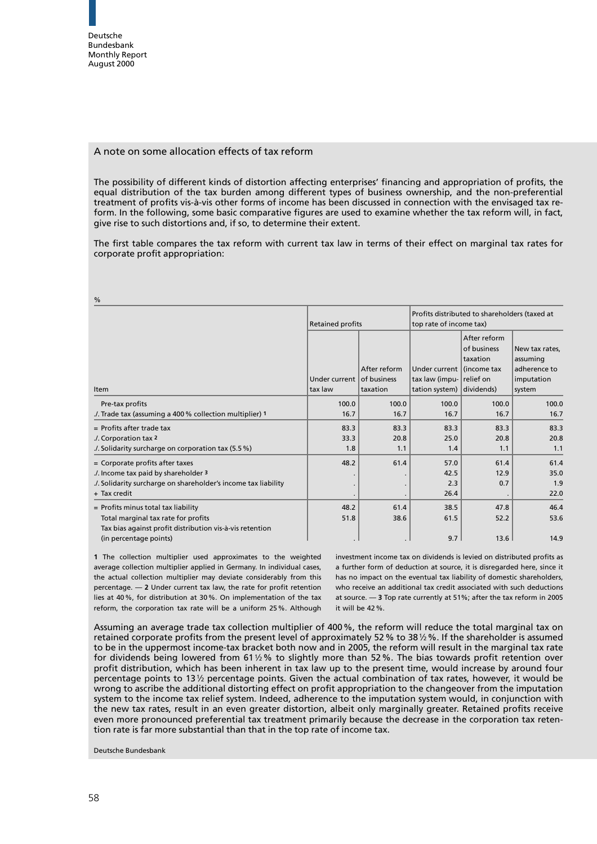## A note on some allocation effects of tax reform

The possibility of different kinds of distortion affecting enterprises' financing and appropriation of profits, the equal distribution of the tax burden among different types of business ownership, and the non-preferential treatment of profits vis-à-vis other forms of income has been discussed in connection with the envisaged tax reform. In the following, some basic comparative figures are used to examine whether the tax reform will, in fact, give rise to such distortions and, if so, to determine their extent.

The first table compares the tax reform with current tax law in terms of their effect on marginal tax rates for corporate profit appropriation:

| %                                                                                                                                                                  |                          |                                         |                                                                          |                                                       |                                                                    |  |
|--------------------------------------------------------------------------------------------------------------------------------------------------------------------|--------------------------|-----------------------------------------|--------------------------------------------------------------------------|-------------------------------------------------------|--------------------------------------------------------------------|--|
|                                                                                                                                                                    | <b>Retained profits</b>  |                                         | Profits distributed to shareholders (taxed at<br>top rate of income tax) |                                                       |                                                                    |  |
| Item                                                                                                                                                               | Under current<br>tax law | After reform<br>of business<br>taxation | Under current l(income tax<br>tax law (impu- relief on<br>tation system) | After reform<br>of business<br>taxation<br>dividends) | New tax rates.<br>assuming<br>adherence to<br>imputation<br>system |  |
| Pre-tax profits<br>./. Trade tax (assuming a 400 % collection multiplier) 1                                                                                        | 100.0<br>16.7            | 100.0<br>16.7                           | 100.0<br>16.7                                                            | 100.0<br>16.7                                         | 100.0<br>16.7                                                      |  |
| $=$ Profits after trade tax<br>./. Corporation tax 2<br>Solidarity surcharge on corporation tax (5.5 %)                                                            | 83.3<br>33.3<br>1.8      | 83.3<br>20.8<br>1.1                     | 83.3<br>25.0<br>1.4                                                      | 83.3<br>20.8<br>1.1                                   | 83.3<br>20.8<br>1.1                                                |  |
| = Corporate profits after taxes<br>./. Income tax paid by shareholder 3<br>Solidarity surcharge on shareholder's income tax liability<br>+ Tax credit              | 48.2                     | 61.4                                    | 57.0<br>42.5<br>2.3<br>26.4                                              | 61.4<br>12.9<br>0.7                                   | 61.4<br>35.0<br>1.9<br>22.0                                        |  |
| $=$ Profits minus total tax liability<br>Total marginal tax rate for profits<br>Tax bias against profit distribution vis-à-vis retention<br>(in percentage points) | 48.2<br>51.8             | 61.4<br>38.6                            | 38.5<br>61.5<br>9.7                                                      | 47.8<br>52.2<br>13.6                                  | 46.4<br>53.6<br>14.9                                               |  |

1 The collection multiplier used approximates to the weighted average collection multiplier applied in Germany. In individual cases, the actual collection multiplier may deviate considerably from this percentage.  $-2$  Under current tax law, the rate for profit retention lies at 40%, for distribution at 30%. On implementation of the tax reform, the corporation tax rate will be a uniform 25%. Although

investment income tax on dividends is levied on distributed profits as a further form of deduction at source, it is disregarded here, since it has no impact on the eventual tax liability of domestic shareholders, who receive an additional tax credit associated with such deductions at source.  $-$  3 Top rate currently at 51%; after the tax reform in 2005 it will be 42%.

Assuming an average trade tax collection multiplier of 400%, the reform will reduce the total marginal tax on retained corporate profits from the present level of approximately 52% to 3812%. If the shareholder is assumed to be in the uppermost income-tax bracket both now and in 2005, the reform will result in the marginal tax rate for dividends being lowered from 61 $1/2$ % to slightly more than 52%. The bias towards profit retention over profit distribution, which has been inherent in tax law up to the present time, would increase by around four percentage points to 131/2 percentage points. Given the actual combination of tax rates, however, it would be wrong to ascribe the additional distorting effect on profit appropriation to the changeover from the imputation system to the income tax relief system. Indeed, adherence to the imputation system would, in conjunction with the new tax rates, result in an even greater distortion, albeit only marginally greater. Retained profits receive even more pronounced preferential tax treatment primarily because the decrease in the corporation tax retention rate is far more substantial than that in the top rate of income tax.

Deutsche Bundesbank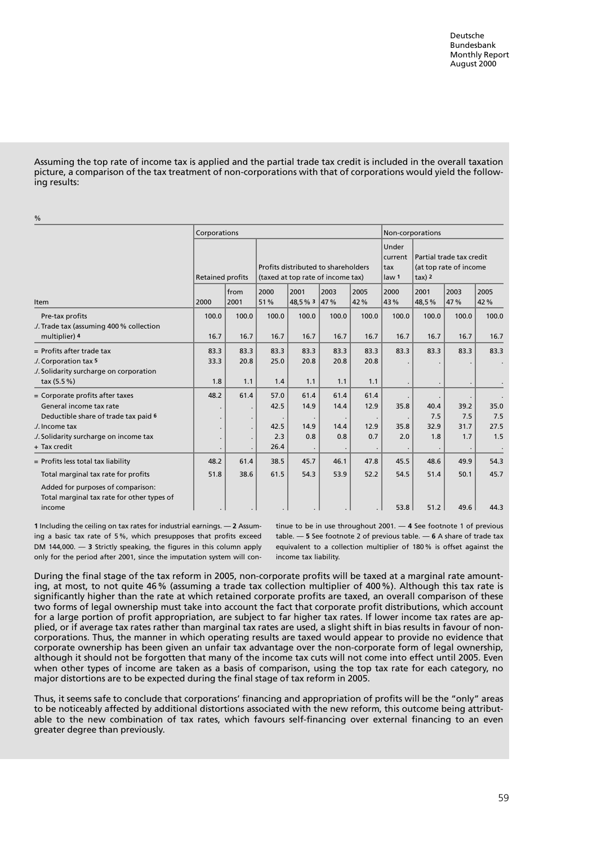Assuming the top rate of income tax is applied and the partial trade tax credit is included in the overall taxation picture, a comparison of the tax treatment of non-corporations with that of corporations would yield the following results:

| 70                                                                                                                     |                                                                                                     |                     |                     |                                              |                                                             |                     |             |             |             |             |
|------------------------------------------------------------------------------------------------------------------------|-----------------------------------------------------------------------------------------------------|---------------------|---------------------|----------------------------------------------|-------------------------------------------------------------|---------------------|-------------|-------------|-------------|-------------|
|                                                                                                                        | Corporations                                                                                        |                     |                     |                                              |                                                             | Non-corporations    |             |             |             |             |
|                                                                                                                        | Profits distributed to shareholders<br><b>Retained profits</b><br>(taxed at top rate of income tax) |                     |                     | Under<br>current<br> tax<br>law <sub>1</sub> | Partial trade tax credit<br>(at top rate of income<br>tax)2 |                     |             |             |             |             |
|                                                                                                                        |                                                                                                     | from                | 2000                | 2001                                         | 2003                                                        | 2005                | 2000        | 2001        | 2003        | 2005        |
| <b>Item</b>                                                                                                            | 2000                                                                                                | 2001                | 51%                 | 48,5 % 3                                     | 47 %                                                        | 42%                 | 43 %        | 48,5%       | 47%         | 42%         |
| Pre-tax profits<br>./. Trade tax (assuming 400 % collection                                                            | 100.0                                                                                               | 100.0               | 100.0               | 100.0                                        | 100.0                                                       | 100.0               | 100.0       | 100.0       | 100.0       | 100.0       |
| multiplier) 4                                                                                                          | 16.7                                                                                                | 16.7                | 16.7                | 16.7                                         | 16.7                                                        | 16.7                | 16.7        | 16.7        | 16.7        | 16.7        |
| = Profits after trade tax<br>./. Corporation tax 5<br>Solidarity surcharge on corporation<br>tax (5.5 %)               | 83.3<br>33.3<br>1.8                                                                                 | 83.3<br>20.8<br>1.1 | 83.3<br>25.0<br>1.4 | 83.3<br>20.8<br>1.1                          | 83.3<br>20.8<br>1.1                                         | 83.3<br>20.8<br>1.1 | 83.3        | 83.3        | 83.3        | 83.3        |
| = Corporate profits after taxes<br>General income tax rate<br>Deductible share of trade tax paid 6                     | 48.2                                                                                                | 61.4<br>$\cdot$     | 57.0<br>42.5        | 61.4<br>14.9                                 | 61.4<br>14.4                                                | 61.4<br>12.9        | 35.8        | 40.4<br>7.5 | 39.2<br>7.5 | 35.0<br>7.5 |
| ./. Income tax<br>Solidarity surcharge on income tax<br>+ Tax credit                                                   |                                                                                                     | $\cdot$<br>$\cdot$  | 42.5<br>2.3<br>26.4 | 14.9<br>0.8                                  | 14.4<br>0.8                                                 | 12.9<br>0.7         | 35.8<br>2.0 | 32.9<br>1.8 | 31.7<br>1.7 | 27.5<br>1.5 |
| = Profits less total tax liability                                                                                     | 48.2                                                                                                | 61.4                | 38.5                | 45.7                                         | 46.1                                                        | 47.8                | 45.5        | 48.6        | 49.9        | 54.3        |
| Total marginal tax rate for profits<br>Added for purposes of comparison:<br>Total marginal tax rate for other types of | 51.8                                                                                                | 38.6                | 61.5                | 54.3                                         | 53.9                                                        | 52.2                | 54.5        | 51.4        | 50.1        | 45.7        |
| income                                                                                                                 |                                                                                                     |                     |                     |                                              |                                                             |                     | 53.8        | 51.2        | 49.6        | 44.3        |

1 Including the ceiling on tax rates for industrial earnings.  $-2$  Assuming a basic tax rate of 5%, which presupposes that profits exceed DM 144,000.  $-$  3 Strictly speaking, the figures in this column apply only for the period after 2001, since the imputation system will continue to be in use throughout 2001.  $-$  4 See footnote 1 of previous table.  $-5$  See footnote 2 of previous table.  $-6$  A share of trade tax equivalent to a collection multiplier of 180% is offset against the income tax liability.

During the final stage of the tax reform in 2005, non-corporate profits will be taxed at a marginal rate amounting, at most, to not quite 46% (assuming a trade tax collection multiplier of 400%). Although this tax rate is significantly higher than the rate at which retained corporate profits are taxed, an overall comparison of these two forms of legal ownership must take into account the fact that corporate profit distributions, which account for a large portion of profit appropriation, are subject to far higher tax rates. If lower income tax rates are applied, or if average tax rates rather than marginal tax rates are used, a slight shift in bias results in favour of noncorporations. Thus, the manner in which operating results are taxed would appear to provide no evidence that corporate ownership has been given an unfair tax advantage over the non-corporate form of legal ownership, although it should not be forgotten that many of the income tax cuts will not come into effect until 2005. Even when other types of income are taken as a basis of comparison, using the top tax rate for each category, no major distortions are to be expected during the final stage of tax reform in 2005.

Thus, it seems safe to conclude that corporations' financing and appropriation of profits will be the "only" areas to be noticeably affected by additional distortions associated with the new reform, this outcome being attributable to the new combination of tax rates, which favours self-financing over external financing to an even greater degree than previously.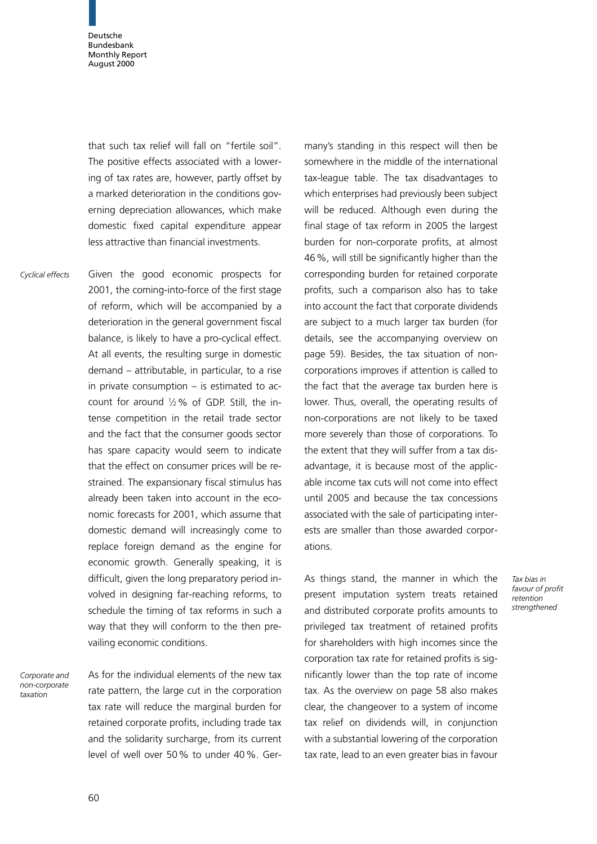that such tax relief will fall on "fertile soil". The positive effects associated with a lowering of tax rates are, however, partly offset by a marked deterioration in the conditions governing depreciation allowances, which make domestic fixed capital expenditure appear less attractive than financial investments.

Given the good economic prospects for 2001, the coming-into-force of the first stage of reform, which will be accompanied by a deterioration in the general government fiscal balance, is likely to have a pro-cyclical effect. At all events, the resulting surge in domestic  $d$ emand  $-$  attributable, in particular, to a rise in private consumption  $-$  is estimated to account for around  $1/2$ % of GDP. Still, the intense competition in the retail trade sector and the fact that the consumer goods sector has spare capacity would seem to indicate that the effect on consumer prices will be restrained. The expansionary fiscal stimulus has already been taken into account in the economic forecasts for 2001, which assume that domestic demand will increasingly come to replace foreign demand as the engine for economic growth. Generally speaking, it is difficult, given the long preparatory period involved in designing far-reaching reforms, to schedule the timing of tax reforms in such a way that they will conform to the then prevailing economic conditions. Cyclical effects

Corporate and non-corporate taxation

As for the individual elements of the new tax rate pattern, the large cut in the corporation tax rate will reduce the marginal burden for retained corporate profits, including trade tax and the solidarity surcharge, from its current level of well over 50% to under 40%. Ger-

many's standing in this respect will then be somewhere in the middle of the international tax-league table. The tax disadvantages to which enterprises had previously been subject will be reduced. Although even during the final stage of tax reform in 2005 the largest burden for non-corporate profits, at almost 46%, will still be significantly higher than the corresponding burden for retained corporate profits, such a comparison also has to take into account the fact that corporate dividends are subject to a much larger tax burden (for details, see the accompanying overview on page 59). Besides, the tax situation of noncorporations improves if attention is called to the fact that the average tax burden here is lower. Thus, overall, the operating results of non-corporations are not likely to be taxed more severely than those of corporations. To the extent that they will suffer from a tax disadvantage, it is because most of the applicable income tax cuts will not come into effect until 2005 and because the tax concessions associated with the sale of participating interests are smaller than those awarded corporations.

As things stand, the manner in which the present imputation system treats retained and distributed corporate profits amounts to privileged tax treatment of retained profits for shareholders with high incomes since the corporation tax rate for retained profits is significantly lower than the top rate of income tax. As the overview on page 58 also makes clear, the changeover to a system of income tax relief on dividends will, in conjunction with a substantial lowering of the corporation tax rate, lead to an even greater bias in favour

Tax bias in favour of profit retention strengthened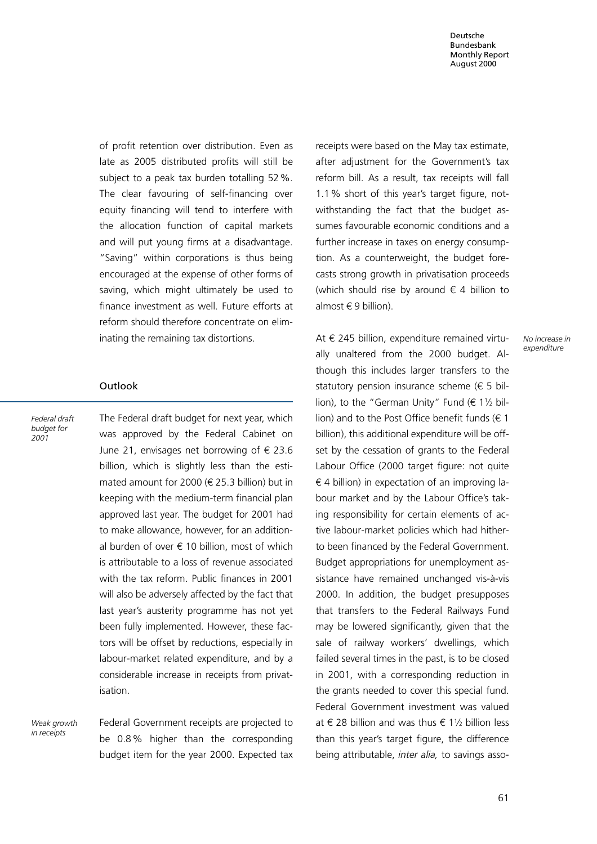of profit retention over distribution. Even as late as 2005 distributed profits will still be subject to a peak tax burden totalling 52%. The clear favouring of self-financing over equity financing will tend to interfere with the allocation function of capital markets and will put young firms at a disadvantage. "Saving" within corporations is thus being encouraged at the expense of other forms of saving, which might ultimately be used to finance investment as well. Future efforts at reform should therefore concentrate on eliminating the remaining tax distortions.

## Outlook

Federal draft budget for 2001

The Federal draft budget for next year, which was approved by the Federal Cabinet on June 21, envisages net borrowing of  $\epsilon$  23.6 billion, which is slightly less than the estimated amount for 2000 ( $\in$  25.3 billion) but in keeping with the medium-term financial plan approved last year. The budget for 2001 had to make allowance, however, for an additional burden of over  $\epsilon$  10 billion, most of which is attributable to a loss of revenue associated with the tax reform. Public finances in 2001 will also be adversely affected by the fact that last year's austerity programme has not yet been fully implemented. However, these factors will be offset by reductions, especially in labour-market related expenditure, and by a considerable increase in receipts from privatisation.

Weak growth in receipts

Federal Government receipts are projected to be 0.8% higher than the corresponding budget item for the year 2000. Expected tax receipts were based on the May tax estimate, after adjustment for the Government's tax reform bill. As a result, tax receipts will fall 1.1% short of this year's target figure, notwithstanding the fact that the budget assumes favourable economic conditions and a further increase in taxes on energy consumption. As a counterweight, the budget forecasts strong growth in privatisation proceeds (which should rise by around  $\epsilon$  4 billion to almost  $\in$  9 billion).

At  $\epsilon$  245 billion, expenditure remained virtually unaltered from the 2000 budget. Although this includes larger transfers to the statutory pension insurance scheme ( $\epsilon$  5 billion), to the "German Unity" Fund  $(E 11/2$  billion) and to the Post Office benefit funds ( $\in$  1 billion), this additional expenditure will be offset by the cessation of grants to the Federal Labour Office (2000 target figure: not quite  $\epsilon$  4 billion) in expectation of an improving labour market and by the Labour Office's taking responsibility for certain elements of active labour-market policies which had hitherto been financed by the Federal Government. Budget appropriations for unemployment assistance have remained unchanged vis-à-vis 2000. In addition, the budget presupposes that transfers to the Federal Railways Fund may be lowered significantly, given that the sale of railway workers' dwellings, which failed several times in the past, is to be closed in 2001, with a corresponding reduction in the grants needed to cover this special fund. Federal Government investment was valued at  $\epsilon$  28 billion and was thus  $\epsilon$  1<sup>1</sup>/<sub>2</sub> billion less than this year's target figure, the difference being attributable, inter alia, to savings asso-

No increase in expenditure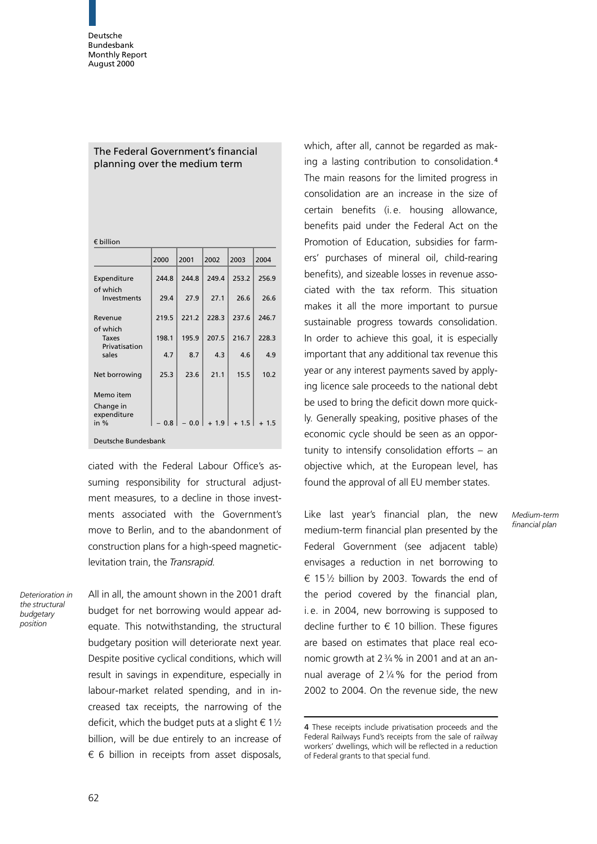# The Federal Government's financial planning over the medium term

| $\epsilon$ billion |  |
|--------------------|--|
|--------------------|--|

|                          | 2000  | 2001  | 2002  | 2003  | 2004  |  |  |
|--------------------------|-------|-------|-------|-------|-------|--|--|
| Expenditure              | 244.8 | 244.8 | 249.4 | 253.2 | 256.9 |  |  |
| of which<br>Investments  | 29.4  | 27.9  | 27.1  | 26.6  | 26.6  |  |  |
| Revenue<br>of which      | 219.5 | 221.2 | 228.3 | 237.6 | 246.7 |  |  |
| Taxes<br>Privatisation   | 198.1 | 195.9 | 207.5 | 216.7 | 228.3 |  |  |
| sales                    | 4.7   | 8.7   | 4.3   | 4.6   | 4.9   |  |  |
| Net borrowing            | 25.3  | 23.6  | 21.1  | 15.5  | 10.2  |  |  |
| Memo item                |       |       |       |       |       |  |  |
| Change in<br>expenditure |       |       |       |       |       |  |  |
| in $%$                   | 0.8   | 0.0   | 1.9   | 1.5   | 1.5   |  |  |
| Deutsche Bundesbank      |       |       |       |       |       |  |  |

ciated with the Federal Labour Office's assuming responsibility for structural adjustment measures, to a decline in those investments associated with the Government's move to Berlin, and to the abandonment of construction plans for a high-speed magneticlevitation train, the Transrapid.

Deterioration in the structural budgetary position

All in all, the amount shown in the 2001 draft budget for net borrowing would appear adequate. This notwithstanding, the structural budgetary position will deteriorate next year. Despite positive cyclical conditions, which will result in savings in expenditure, especially in labour-market related spending, and in increased tax receipts, the narrowing of the deficit, which the budget puts at a slight  $\in 1\frac{1}{2}$ billion, will be due entirely to an increase of  $\epsilon$  6 billion in receipts from asset disposals,

which, after all, cannot be regarded as making a lasting contribution to consolidation.<sup>4</sup> The main reasons for the limited progress in consolidation are an increase in the size of certain benefits (i. e. housing allowance, benefits paid under the Federal Act on the Promotion of Education, subsidies for farmers' purchases of mineral oil, child-rearing benefits), and sizeable losses in revenue associated with the tax reform. This situation makes it all the more important to pursue sustainable progress towards consolidation. In order to achieve this goal, it is especially important that any additional tax revenue this year or any interest payments saved by applying licence sale proceeds to the national debt be used to bring the deficit down more quickly. Generally speaking, positive phases of the economic cycle should be seen as an opportunity to intensify consolidation efforts  $-$  an objective which, at the European level, has found the approval of all EU member states.

Like last year's financial plan, the new medium-term financial plan presented by the Federal Government (see adjacent table) envisages a reduction in net borrowing to  $6$  15 $\frac{1}{2}$  billion by 2003. Towards the end of the period covered by the financial plan, i. e. in 2004, new borrowing is supposed to decline further to  $\epsilon$  10 billion. These figures are based on estimates that place real economic growth at  $2\frac{3}{4}$ % in 2001 and at an annual average of  $2\frac{1}{4}\%$  for the period from 2002 to 2004. On the revenue side, the new

Medium-term financial plan

<sup>4</sup> These receipts include privatisation proceeds and the Federal Railways Fund's receipts from the sale of railway workers' dwellings, which will be reflected in a reduction of Federal grants to that special fund.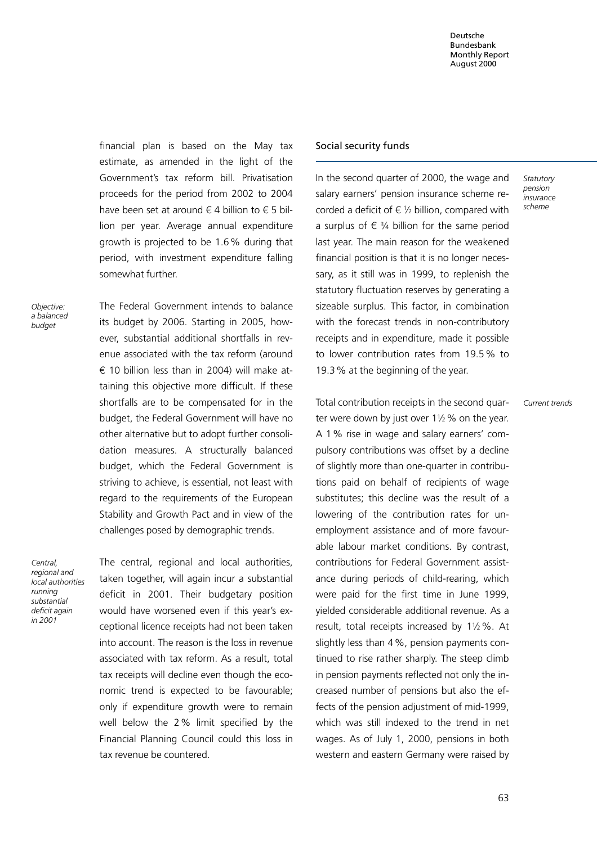financial plan is based on the May tax estimate, as amended in the light of the Government's tax reform bill. Privatisation proceeds for the period from 2002 to 2004 have been set at around  $\in$  4 billion to  $\in$  5 billion per year. Average annual expenditure growth is projected to be 1.6% during that period, with investment expenditure falling somewhat further.

Objective: a balanced budget

The Federal Government intends to balance its budget by 2006. Starting in 2005, however, substantial additional shortfalls in revenue associated with the tax reform (around  $\epsilon$  10 billion less than in 2004) will make attaining this objective more difficult. If these shortfalls are to be compensated for in the budget, the Federal Government will have no other alternative but to adopt further consolidation measures. A structurally balanced budget, which the Federal Government is striving to achieve, is essential, not least with regard to the requirements of the European Stability and Growth Pact and in view of the challenges posed by demographic trends.

Central, regional and local authorities running substantial deficit again in 2001

The central, regional and local authorities, taken together, will again incur a substantial deficit in 2001. Their budgetary position would have worsened even if this year's exceptional licence receipts had not been taken into account. The reason is the loss in revenue associated with tax reform. As a result, total tax receipts will decline even though the economic trend is expected to be favourable; only if expenditure growth were to remain well below the 2% limit specified by the Financial Planning Council could this loss in tax revenue be countered.

#### Social security funds

In the second quarter of 2000, the wage and salary earners' pension insurance scheme recorded a deficit of  $\epsilon$  1/2 billion, compared with a surplus of  $\epsilon$  3/4 billion for the same period last year. The main reason for the weakened financial position is that it is no longer necessary, as it still was in 1999, to replenish the statutory fluctuation reserves by generating a sizeable surplus. This factor, in combination with the forecast trends in non-contributory receipts and in expenditure, made it possible to lower contribution rates from 19.5% to 19.3% at the beginning of the year.

Total contribution receipts in the second quarter were down by just over  $1\frac{1}{2}$ % on the year. A 1% rise in wage and salary earners' compulsory contributions was offset by a decline of slightly more than one-quarter in contributions paid on behalf of recipients of wage substitutes; this decline was the result of a lowering of the contribution rates for unemployment assistance and of more favourable labour market conditions. By contrast, contributions for Federal Government assistance during periods of child-rearing, which were paid for the first time in June 1999, yielded considerable additional revenue. As a result, total receipts increased by  $1\frac{1}{2}\%$ . At slightly less than 4%, pension payments continued to rise rather sharply. The steep climb in pension payments reflected not only the increased number of pensions but also the effects of the pension adjustment of mid-1999, which was still indexed to the trend in net wages. As of July 1, 2000, pensions in both western and eastern Germany were raised by **Statutory** pension insurance scheme

Current trends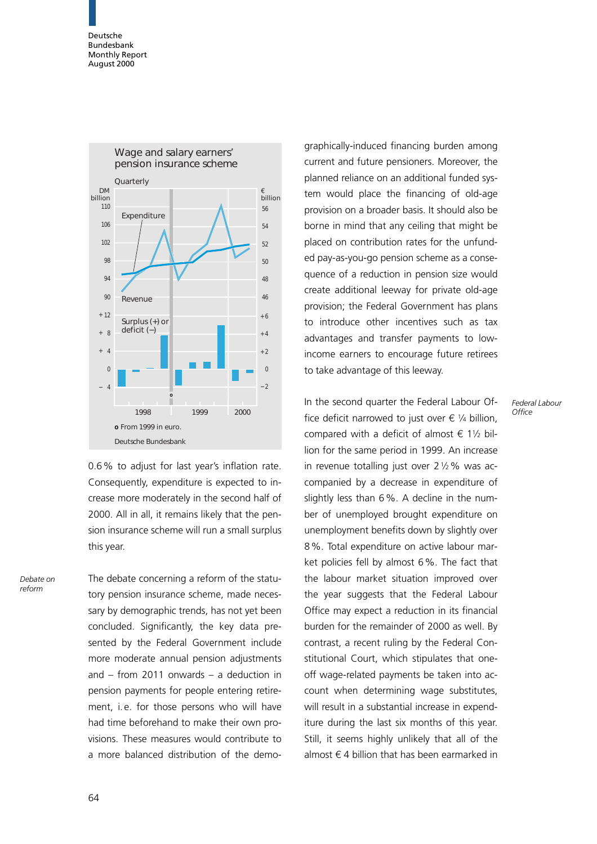

0.6% to adjust for last year's inflation rate. Consequently, expenditure is expected to increase more moderately in the second half of 2000. All in all, it remains likely that the pension insurance scheme will run a small surplus this year.

Debate on reform

The debate concerning a reform of the statutory pension insurance scheme, made necessary by demographic trends, has not yet been concluded. Significantly, the key data presented by the Federal Government include more moderate annual pension adjustments and  $-$  from 2011 onwards  $-$  a deduction in pension payments for people entering retirement, i. e. for those persons who will have had time beforehand to make their own provisions. These measures would contribute to a more balanced distribution of the demographically-induced financing burden among current and future pensioners. Moreover, the planned reliance on an additional funded system would place the financing of old-age provision on a broader basis. It should also be borne in mind that any ceiling that might be placed on contribution rates for the unfunded pay-as-you-go pension scheme as a consequence of a reduction in pension size would create additional leeway for private old-age provision; the Federal Government has plans to introduce other incentives such as tax advantages and transfer payments to lowincome earners to encourage future retirees to take advantage of this leeway.

> Federal Labour **Office**

In the second quarter the Federal Labour Office deficit narrowed to just over  $\epsilon$  1/4 billion, compared with a deficit of almost  $\epsilon$  11/2 billion for the same period in 1999. An increase in revenue totalling just over  $2\frac{1}{2}\%$  was accompanied by a decrease in expenditure of slightly less than 6%. A decline in the number of unemployed brought expenditure on unemployment benefits down by slightly over 8%. Total expenditure on active labour market policies fell by almost 6%. The fact that the labour market situation improved over the year suggests that the Federal Labour Office may expect a reduction in its financial burden for the remainder of 2000 as well. By contrast, a recent ruling by the Federal Constitutional Court, which stipulates that oneoff wage-related payments be taken into account when determining wage substitutes, will result in a substantial increase in expenditure during the last six months of this year. Still, it seems highly unlikely that all of the almost  $\epsilon$  4 billion that has been earmarked in

64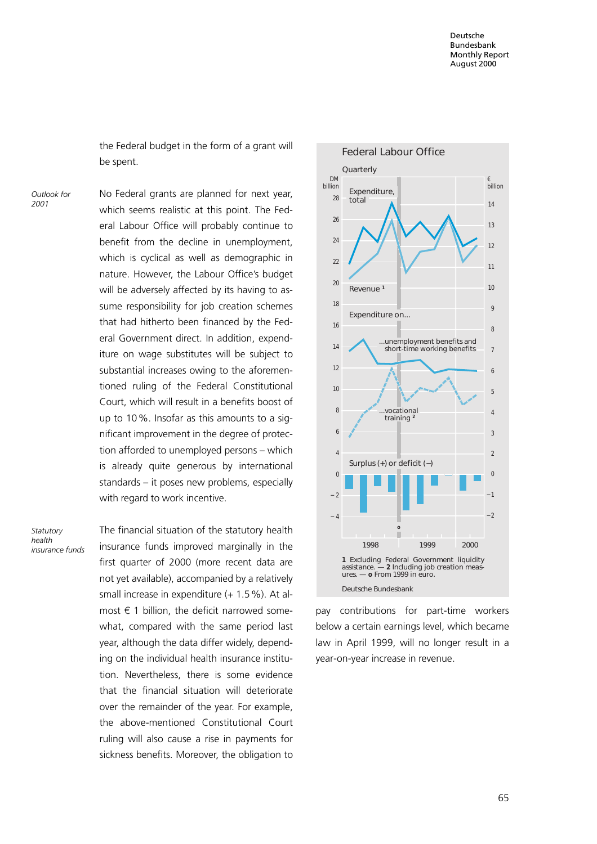the Federal budget in the form of a grant will be spent.

Outlook for 2001

No Federal grants are planned for next year, which seems realistic at this point. The Federal Labour Office will probably continue to benefit from the decline in unemployment, which is cyclical as well as demographic in nature. However, the Labour Office's budget will be adversely affected by its having to assume responsibility for job creation schemes that had hitherto been financed by the Federal Government direct. In addition, expenditure on wage substitutes will be subject to substantial increases owing to the aforementioned ruling of the Federal Constitutional Court, which will result in a benefits boost of up to 10%. Insofar as this amounts to a significant improvement in the degree of protection afforded to unemployed persons  $-$  which is already quite generous by international standards  $-$  it poses new problems, especially with regard to work incentive.

Statutory health insurance funds The financial situation of the statutory health insurance funds improved marginally in the first quarter of 2000 (more recent data are not yet available), accompanied by a relatively small increase in expenditure (+ 1.5 %). At almost  $\epsilon$  1 billion, the deficit narrowed somewhat, compared with the same period last year, although the data differ widely, depending on the individual health insurance institution. Nevertheless, there is some evidence that the financial situation will deteriorate over the remainder of the year. For example, the above-mentioned Constitutional Court ruling will also cause a rise in payments for sickness benefits. Moreover, the obligation to



pay contributions for part-time workers below a certain earnings level, which became law in April 1999, will no longer result in a year-on-year increase in revenue.